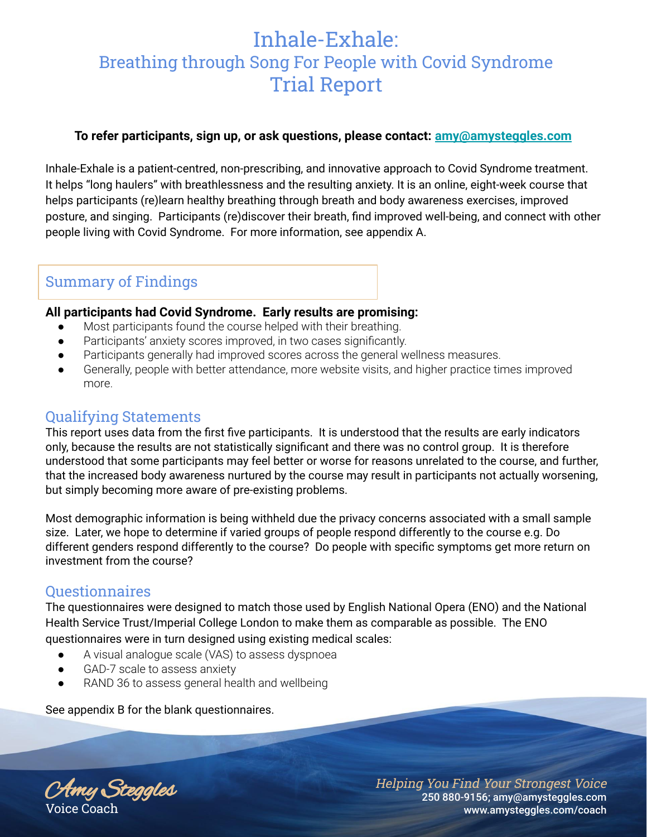# Inhale-Exhale: Breathing through Song For People with Covid Syndrome Trial Report

#### **To refer participants, sign up, or ask questions, please contact: [amy@amysteggles.com](mailto:amy@amysteggles.com)**

Inhale-Exhale is a patient-centred, non-prescribing, and innovative approach to Covid Syndrome treatment. It helps "long haulers" with breathlessness and the resulting anxiety. It is an online, eight-week course that helps participants (re)learn healthy breathing through breath and body awareness exercises, improved posture, and singing. Participants (re)discover their breath, find improved well-being, and connect with other people living with Covid Syndrome. For more information, see appendix A.

# Summary of Findings

#### **All participants had Covid Syndrome. Early results are promising:**

- Most participants found the course helped with their breathing.
- Participants' anxiety scores improved, in two cases significantly.
- Participants generally had improved scores across the general wellness measures.
- Generally, people with better attendance, more website visits, and higher practice times improved more.

## Qualifying Statements

This report uses data from the first five participants. It is understood that the results are early indicators only, because the results are not statistically significant and there was no control group. It is therefore understood that some participants may feel better or worse for reasons unrelated to the course, and further, that the increased body awareness nurtured by the course may result in participants not actually worsening, but simply becoming more aware of pre-existing problems.

Most demographic information is being withheld due the privacy concerns associated with a small sample size. Later, we hope to determine if varied groups of people respond differently to the course e.g. Do different genders respond differently to the course? Do people with specific symptoms get more return on investment from the course?

# Questionnaires

The questionnaires were designed to match those used by English National Opera (ENO) and the National Health Service Trust/Imperial College London to make them as comparable as possible. The ENO questionnaires were in turn designed using existing medical scales:

- A visual analogue scale (VAS) to assess dyspnoea
- GAD-7 scale to assess anxiety
- RAND 36 to assess general health and wellbeing

See appendix B for the blank questionnaires.

Amy Steggles Voice Coach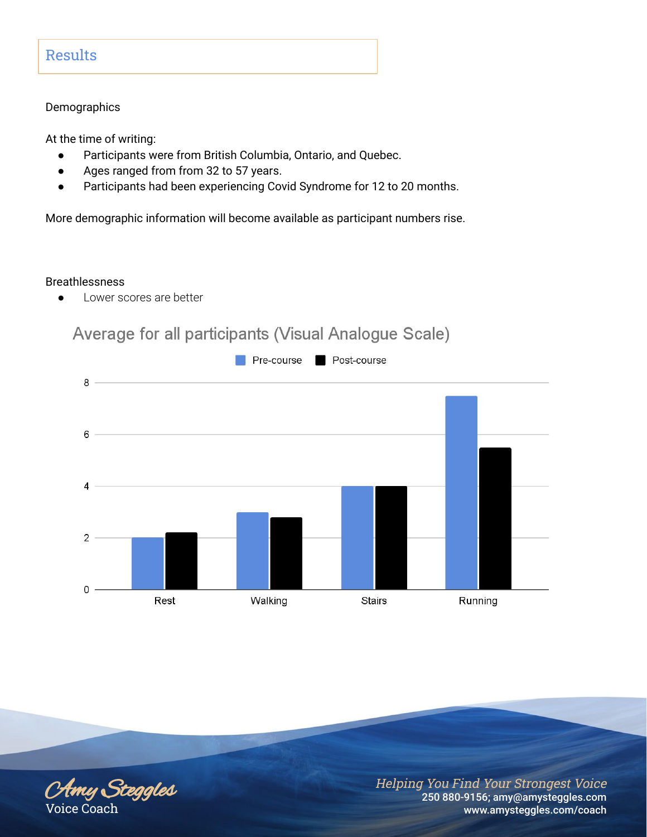# Results

#### **Demographics**

At the time of writing:

- Participants were from British Columbia, Ontario, and Quebec.
- Ages ranged from from 32 to 57 years.
- Participants had been experiencing Covid Syndrome for 12 to 20 months.

More demographic information will become available as participant numbers rise.

#### Breathlessness

● Lower scores are better

# Average for all participants (Visual Analogue Scale)



Amy Steggles Voice Coach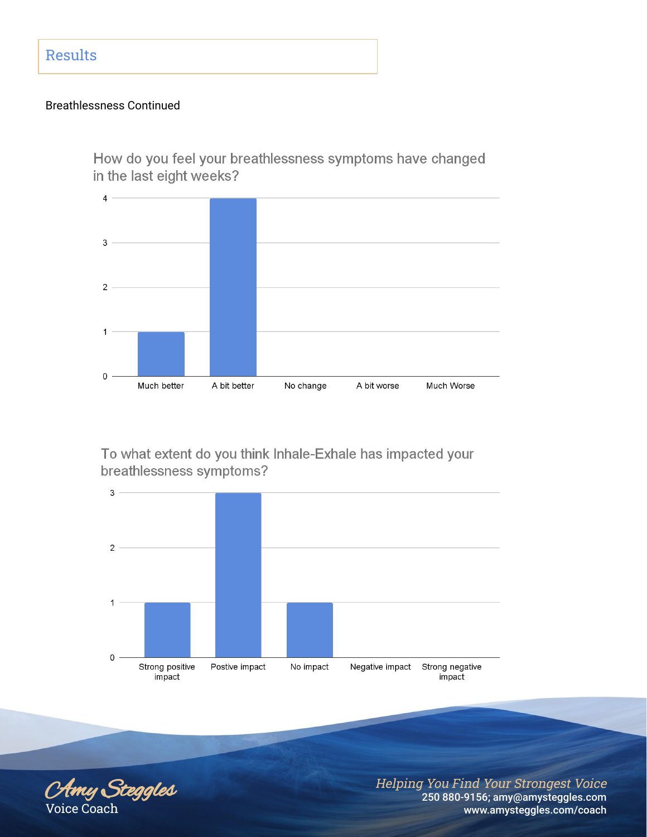#### Breathlessness Continued

How do you feel your breathlessness symptoms have changed in the last eight weeks?



To what extent do you think Inhale-Exhale has impacted your breathlessness symptoms?



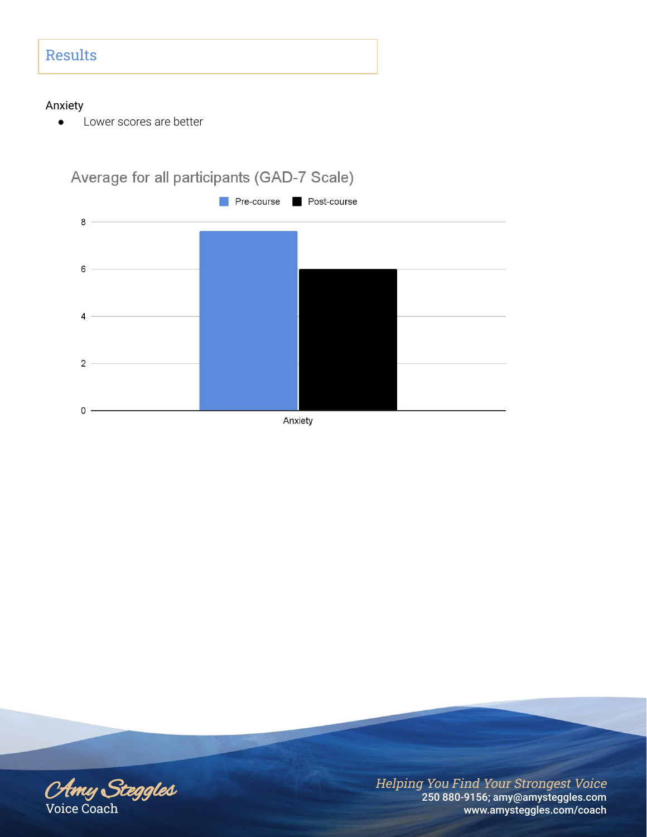# Results

#### Anxiety

● Lower scores are better



Amy Steggles Voice Coach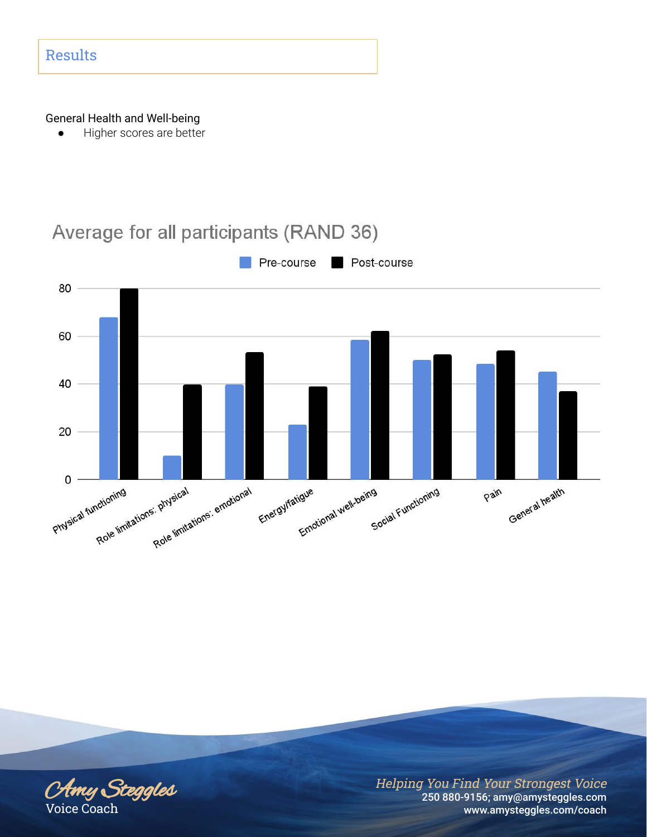#### General Health and Well-being

● Higher scores are better



# Average for all participants (RAND 36)

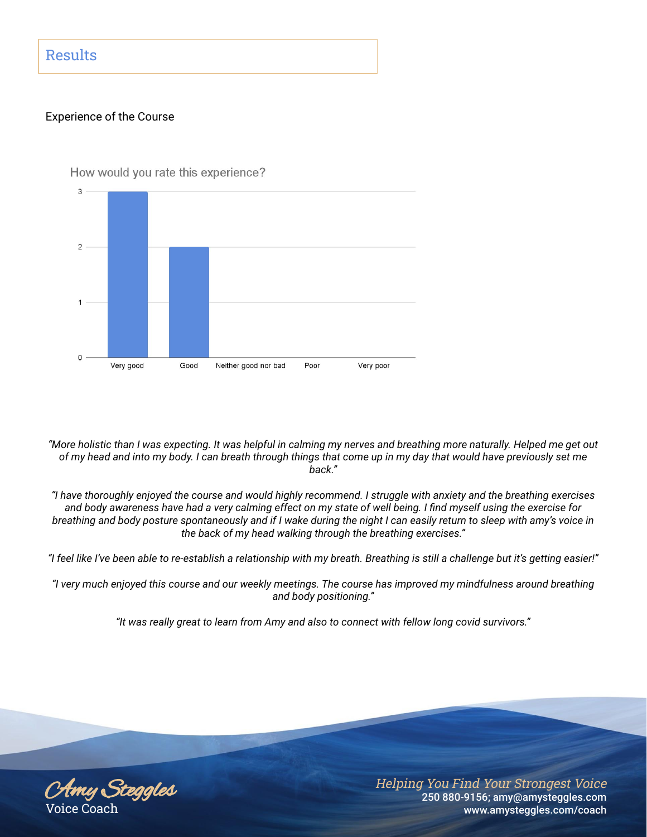# Results

#### Experience of the Course



How would you rate this experience?

*"More holistic than I was expecting. It was helpful in calming my nerves and breathing more naturally. Helped me get out of my head and into my body. I can breath through things that come up in my day that would have previously set me back."*

*"I have thoroughly enjoyed the course and would highly recommend. I struggle with anxiety and the breathing exercises and body awareness have had a very calming effect on my state of well being. I find myself using the exercise for breathing and body posture spontaneously and if I wake during the night I can easily return to sleep with amy's voice in the back of my head walking through the breathing exercises."*

*"I feel like I've been able to re-establish a relationship with my breath. Breathing is still a challenge but it's getting easier!"*

*"I very much enjoyed this course and our weekly meetings. The course has improved my mindfulness around breathing and body positioning."*

*"It was really great to learn from Amy and also to connect with fellow long covid survivors."*

Amy Steggles Voice Coach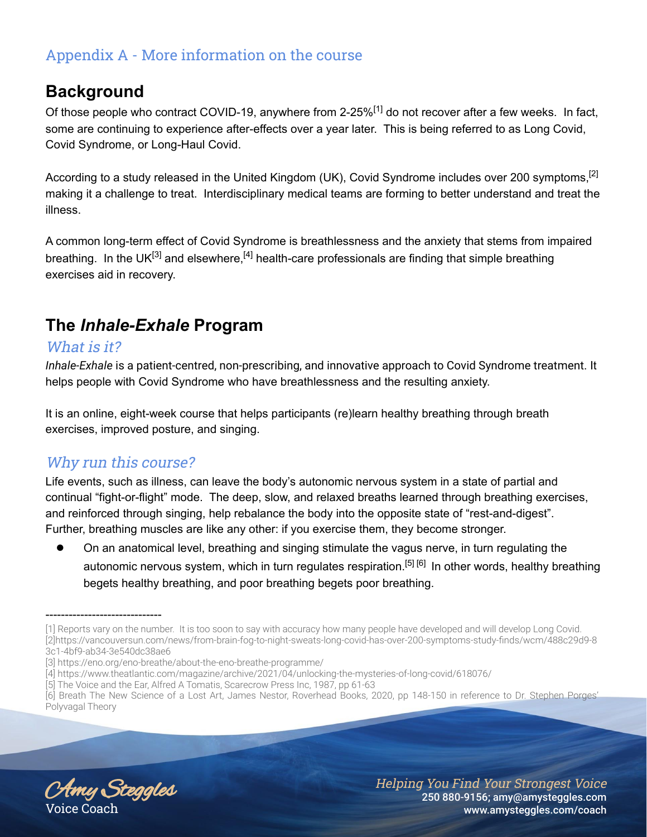# Appendix A - More information on the course

# **Background**

Of those people who contract COVID-19, anywhere from 2-25%<sup>[1]</sup> do not recover after a few weeks. In fact, some are continuing to experience after-effects over a year later. This is being referred to as Long Covid, Covid Syndrome, or Long-Haul Covid.

According to a study released in the United Kingdom (UK), Covid Syndrome includes over 200 symptoms,<sup>[2]</sup> making it a challenge to treat. Interdisciplinary medical teams are forming to better understand and treat the illness.

A common long-term effect of Covid Syndrome is breathlessness and the anxiety that stems from impaired breathing. In the UK<sup>[3]</sup> and elsewhere,<sup>[4]</sup> health-care professionals are finding that simple breathing exercises aid in recovery.

# **The** *Inhale-Exhale* **Program**

# What is it?

*Inhale-Exhale* is a patient-centred, non-prescribing, and innovative approach to Covid Syndrome treatment. It helps people with Covid Syndrome who have breathlessness and the resulting anxiety.

It is an online, eight-week course that helps participants (re)learn healthy breathing through breath exercises, improved posture, and singing.

# Why run this course?

Life events, such as illness, can leave the body's autonomic nervous system in a state of partial and continual "fight-or-flight" mode. The deep, slow, and relaxed breaths learned through breathing exercises, and reinforced through singing, help rebalance the body into the opposite state of "rest-and-digest". Further, breathing muscles are like any other: if you exercise them, they become stronger.

On an anatomical level, breathing and singing stimulate the vagus nerve, in turn regulating the autonomic nervous system, which in turn regulates respiration.<sup>[5] [6]</sup> In other words, healthy breathing begets healthy breathing, and poor breathing begets poor breathing.

Amy Steggles Voice Coach

------------------------------

<sup>[1]</sup> Reports vary on the number. It is too soon to say with accuracy how many people have developed and will develop Long Covid. [2[\]https://vancouversun.com/news/from-brain-fog-to-night-sweats-long-covid-has-over-200-symptoms-study-finds/wcm/488c29d9-8](https://vancouversun.com/news/from-brain-fog-to-night-sweats-long-covid-has-over-200-symptoms-study-finds/wcm/488c29d9-83c1-4bf9-ab34-3e540dc38ae6) [3c1-4bf9-ab34-3e540dc38ae6](https://vancouversun.com/news/from-brain-fog-to-night-sweats-long-covid-has-over-200-symptoms-study-finds/wcm/488c29d9-83c1-4bf9-ab34-3e540dc38ae6)

<sup>[3</sup>[\] https://eno.org/eno-breathe/about-the-eno-breathe-programme/](https://eno.org/eno-breathe/about-the-eno-breathe-programme/)

<sup>[4</sup>[\] https://www.theatlantic.com/magazine/archive/2021/04/unlocking-the-mysteries-of-long-covid/618076/](https://www.theatlantic.com/magazine/archive/2021/04/unlocking-the-mysteries-of-long-covid/618076/)

<sup>[5]</sup> The Voice and the Ear, Alfred A Tomatis, Scarecrow Press Inc, 1987, pp 61-63

<sup>[6]</sup> Breath The New Science of a Lost Art, James Nestor, Roverhead Books, 2020, pp 148-150 in reference to Dr. Stephen Porges' Polyvagal Theory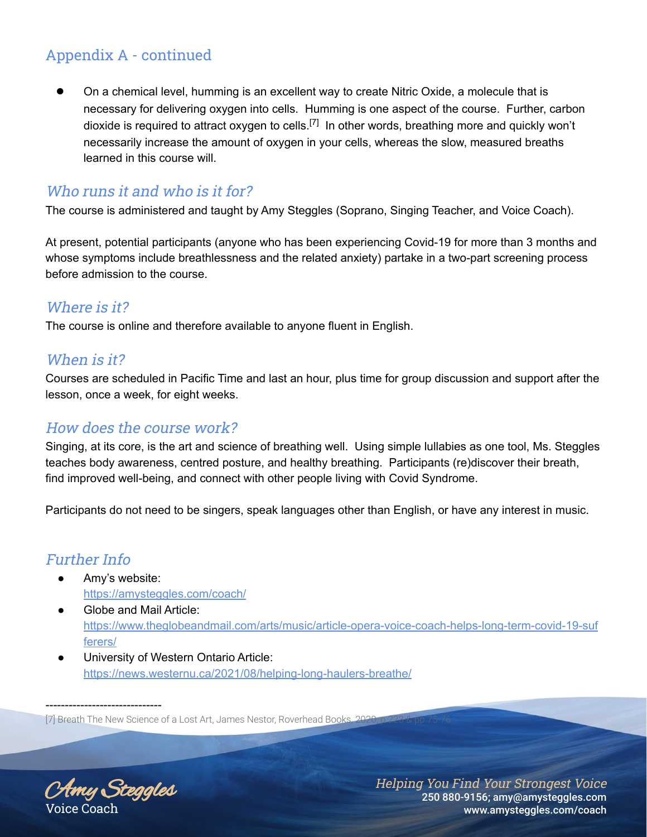# Appendix A - continued

On a chemical level, humming is an excellent way to create Nitric Oxide, a molecule that is necessary for delivering oxygen into cells. Humming is one aspect of the course. Further, carbon dioxide is required to attract oxygen to cells.<sup>[7]</sup> In other words, breathing more and quickly won't necessarily increase the amount of oxygen in your cells, whereas the slow, measured breaths learned in this course will.

# Who runs it and who is it for?

The course is administered and taught by Amy Steggles (Soprano, Singing Teacher, and Voice Coach).

At present, potential participants (anyone who has been experiencing Covid-19 for more than 3 months and whose symptoms include breathlessness and the related anxiety) partake in a two-part screening process before admission to the course.

# Where is it?

The course is online and therefore available to anyone fluent in English.

# When is it?

Courses are scheduled in Pacific Time and last an hour, plus time for group discussion and support after the lesson, once a week, for eight weeks.

# How does the course work?

Singing, at its core, is the art and science of breathing well. Using simple lullabies as one tool, Ms. Steggles teaches body awareness, centred posture, and healthy breathing. Participants (re)discover their breath, find improved well-being, and connect with other people living with Covid Syndrome.

Participants do not need to be singers, speak languages other than English, or have any interest in music.

# Further Info

- Amy's website: <https://amysteggles.com/coach/>
- Globe and Mail Article[:](https://www.theglobeandmail.com/arts/music/article-opera-voice-coach-helps-long-term-covid-19-sufferers/) [https://www.theglobeandmail.com/arts/music/article-opera-voice-coach-helps-long-term-covid-19-suf](https://www.theglobeandmail.com/arts/music/article-opera-voice-coach-helps-long-term-covid-19-sufferers/) [ferers/](https://www.theglobeandmail.com/arts/music/article-opera-voice-coach-helps-long-term-covid-19-sufferers/)
- University of Western Ontario Article: <https://news.westernu.ca/2021/08/helping-long-haulers-breathe/>

[7] Breath The New Science of a Lost Art, James Nestor, Roverhead Books, 202

Amy Steggles Voice Coach

------------------------------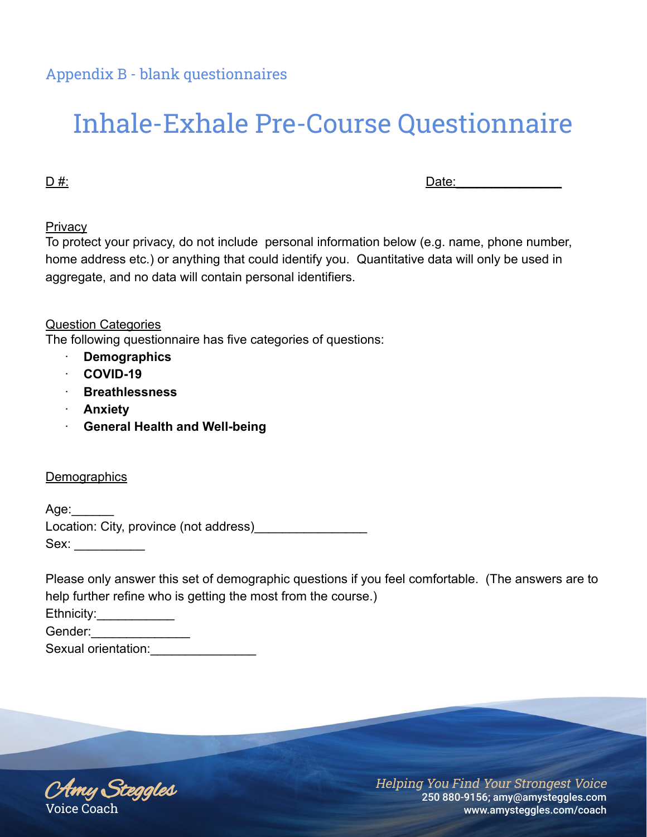# Inhale-Exhale Pre-Course Questionnaire

D #: Date:\_\_\_\_\_\_\_\_\_\_\_\_\_\_\_

**Privacy** 

To protect your privacy, do not include personal information below (e.g. name, phone number, home address etc.) or anything that could identify you. Quantitative data will only be used in aggregate, and no data will contain personal identifiers.

Question Categories

The following questionnaire has five categories of questions:

- · **Demographics**
- · **COVID-19**
- · **Breathlessness**
- · **Anxiety**
- · **General Health and Well-being**

#### **Demographics**

Age: Location: City, province (not address) Sex: \_\_\_\_\_\_\_\_\_\_

Please only answer this set of demographic questions if you feel comfortable. (The answers are to help further refine who is getting the most from the course.) Ethnicity: Gender: Sexual orientation:

Amy Steggles Voice Coach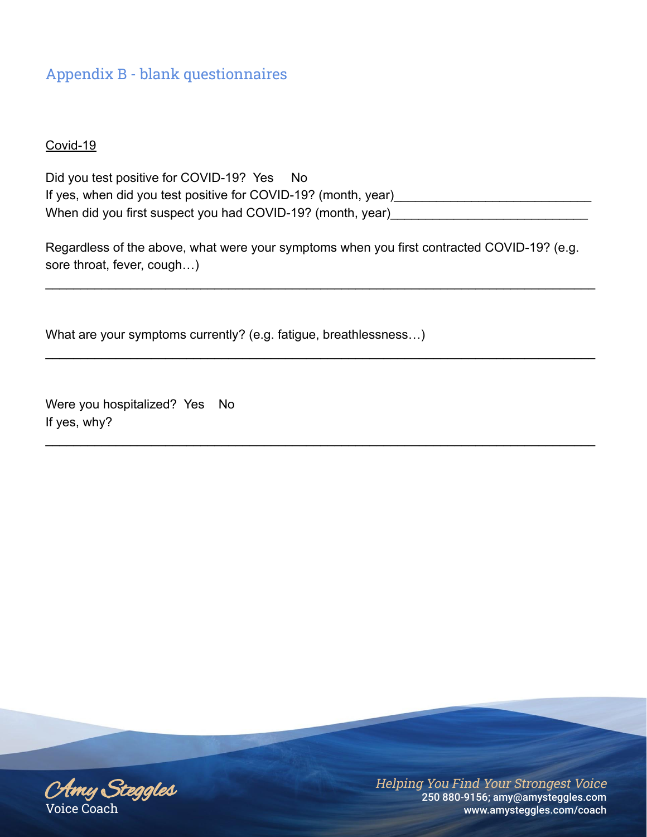Covid-19

Did you test positive for COVID-19? Yes No If yes, when did you test positive for COVID-19? (month, year) When did you first suspect you had COVID-19? (month, year)

Regardless of the above, what were your symptoms when you first contracted COVID-19? (e.g. sore throat, fever, cough…)

 $\mathcal{L}_\text{max} = \frac{1}{2} \sum_{i=1}^{n} \frac{1}{2} \sum_{i=1}^{n} \frac{1}{2} \sum_{i=1}^{n} \frac{1}{2} \sum_{i=1}^{n} \frac{1}{2} \sum_{i=1}^{n} \frac{1}{2} \sum_{i=1}^{n} \frac{1}{2} \sum_{i=1}^{n} \frac{1}{2} \sum_{i=1}^{n} \frac{1}{2} \sum_{i=1}^{n} \frac{1}{2} \sum_{i=1}^{n} \frac{1}{2} \sum_{i=1}^{n} \frac{1}{2} \sum_{i=1}^{n} \frac{1$ 

 $\mathcal{L}_\text{max} = \frac{1}{2} \sum_{i=1}^{n} \frac{1}{2} \sum_{i=1}^{n} \frac{1}{2} \sum_{i=1}^{n} \frac{1}{2} \sum_{i=1}^{n} \frac{1}{2} \sum_{i=1}^{n} \frac{1}{2} \sum_{i=1}^{n} \frac{1}{2} \sum_{i=1}^{n} \frac{1}{2} \sum_{i=1}^{n} \frac{1}{2} \sum_{i=1}^{n} \frac{1}{2} \sum_{i=1}^{n} \frac{1}{2} \sum_{i=1}^{n} \frac{1}{2} \sum_{i=1}^{n} \frac{1$ 

 $\mathcal{L}_\text{max} = \frac{1}{2} \sum_{i=1}^{n} \frac{1}{2} \sum_{i=1}^{n} \frac{1}{2} \sum_{i=1}^{n} \frac{1}{2} \sum_{i=1}^{n} \frac{1}{2} \sum_{i=1}^{n} \frac{1}{2} \sum_{i=1}^{n} \frac{1}{2} \sum_{i=1}^{n} \frac{1}{2} \sum_{i=1}^{n} \frac{1}{2} \sum_{i=1}^{n} \frac{1}{2} \sum_{i=1}^{n} \frac{1}{2} \sum_{i=1}^{n} \frac{1}{2} \sum_{i=1}^{n} \frac{1$ 

What are your symptoms currently? (e.g. fatigue, breathlessness…)

Were you hospitalized? Yes No If yes, why?

Amy Steggles Voice Coach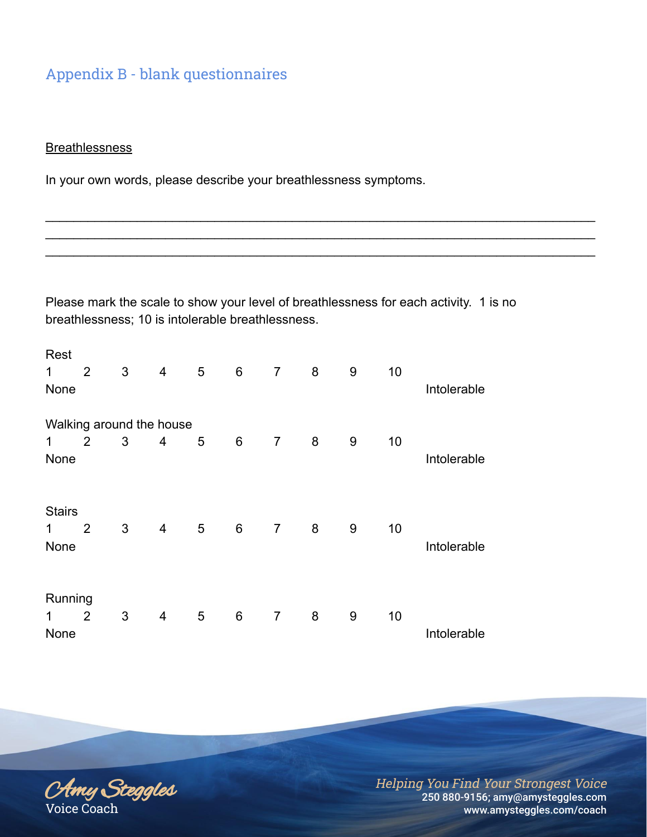#### **Breathlessness**

In your own words, please describe your breathlessness symptoms.

Please mark the scale to show your level of breathlessness for each activity. 1 is no breathlessness; 10 is intolerable breathlessness.

 $\mathcal{L}_\text{max} = \frac{1}{2} \sum_{i=1}^{n} \frac{1}{2} \sum_{i=1}^{n} \frac{1}{2} \sum_{i=1}^{n} \frac{1}{2} \sum_{i=1}^{n} \frac{1}{2} \sum_{i=1}^{n} \frac{1}{2} \sum_{i=1}^{n} \frac{1}{2} \sum_{i=1}^{n} \frac{1}{2} \sum_{i=1}^{n} \frac{1}{2} \sum_{i=1}^{n} \frac{1}{2} \sum_{i=1}^{n} \frac{1}{2} \sum_{i=1}^{n} \frac{1}{2} \sum_{i=1}^{n} \frac{1$  $\mathcal{L}_\text{max} = \frac{1}{2} \sum_{i=1}^{n} \frac{1}{2} \sum_{i=1}^{n} \frac{1}{2} \sum_{i=1}^{n} \frac{1}{2} \sum_{i=1}^{n} \frac{1}{2} \sum_{i=1}^{n} \frac{1}{2} \sum_{i=1}^{n} \frac{1}{2} \sum_{i=1}^{n} \frac{1}{2} \sum_{i=1}^{n} \frac{1}{2} \sum_{i=1}^{n} \frac{1}{2} \sum_{i=1}^{n} \frac{1}{2} \sum_{i=1}^{n} \frac{1}{2} \sum_{i=1}^{n} \frac{1$  $\mathcal{L}_\text{max} = \frac{1}{2} \sum_{i=1}^{n} \frac{1}{2} \sum_{i=1}^{n} \frac{1}{2} \sum_{i=1}^{n} \frac{1}{2} \sum_{i=1}^{n} \frac{1}{2} \sum_{i=1}^{n} \frac{1}{2} \sum_{i=1}^{n} \frac{1}{2} \sum_{i=1}^{n} \frac{1}{2} \sum_{i=1}^{n} \frac{1}{2} \sum_{i=1}^{n} \frac{1}{2} \sum_{i=1}^{n} \frac{1}{2} \sum_{i=1}^{n} \frac{1}{2} \sum_{i=1}^{n} \frac{1$ 

| Rest          |                          |                |                |   |                |                |         |   |    |             |
|---------------|--------------------------|----------------|----------------|---|----------------|----------------|---------|---|----|-------------|
| 1             | 2                        | $\mathfrak{S}$ | $\overline{4}$ | 5 | $6\,$          | $\overline{7}$ | $\bf 8$ | 9 | 10 |             |
| None          |                          |                |                |   |                |                |         |   |    | Intolerable |
|               | Walking around the house |                |                |   |                |                |         |   |    |             |
| 1             | 2                        | 3              | 4              | 5 | $6\phantom{1}$ | $\overline{7}$ | 8       | 9 | 10 |             |
| None          |                          |                |                |   |                |                |         |   |    | Intolerable |
| <b>Stairs</b> |                          |                |                |   |                |                |         |   |    |             |
| $\mathbf 1$   | $\overline{2}$           | 3              | $\overline{4}$ | 5 | 6              | $\overline{7}$ | 8       | 9 | 10 |             |
| None          |                          |                |                |   |                |                |         |   |    | Intolerable |
| Running       |                          |                |                |   |                |                |         |   |    |             |
| 1             | 2                        | 3              | 4              | 5 | $6\phantom{1}$ | $\overline{7}$ | 8       | 9 | 10 |             |
| None          |                          |                |                |   |                |                |         |   |    | Intolerable |

Amy Steggles Voice Coach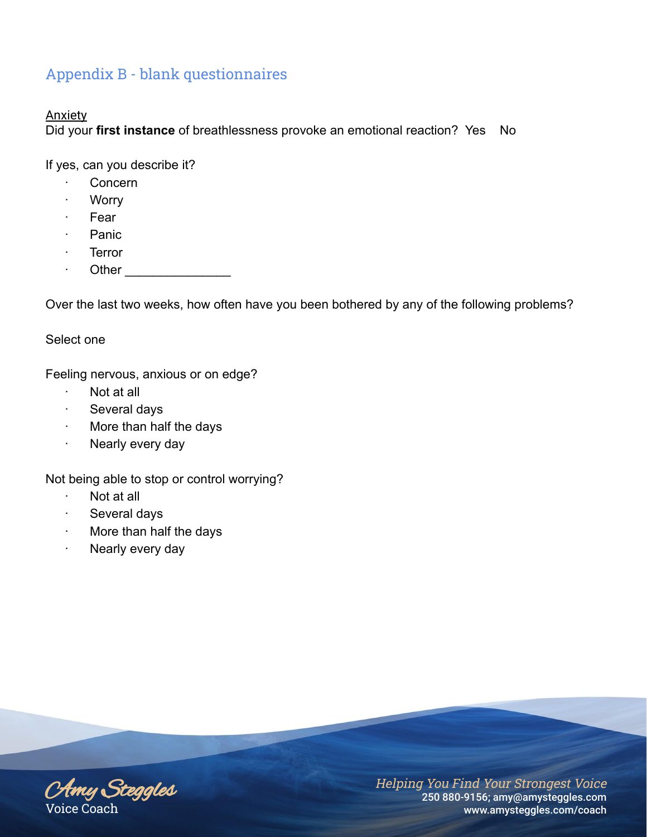#### **Anxiety**

Did your **first instance** of breathlessness provoke an emotional reaction? Yes No

If yes, can you describe it?

- · Concern
- · Worry
- · Fear
- · Panic
- · Terror
- Other  $\Box$

Over the last two weeks, how often have you been bothered by any of the following problems?

#### Select one

Feeling nervous, anxious or on edge?

- Not at all
- · Several days
- · More than half the days
- · Nearly every day

Not being able to stop or control worrying?

- · Not at all
- Several days
- · More than half the days
- · Nearly every day

Amy Steggles Voice Coach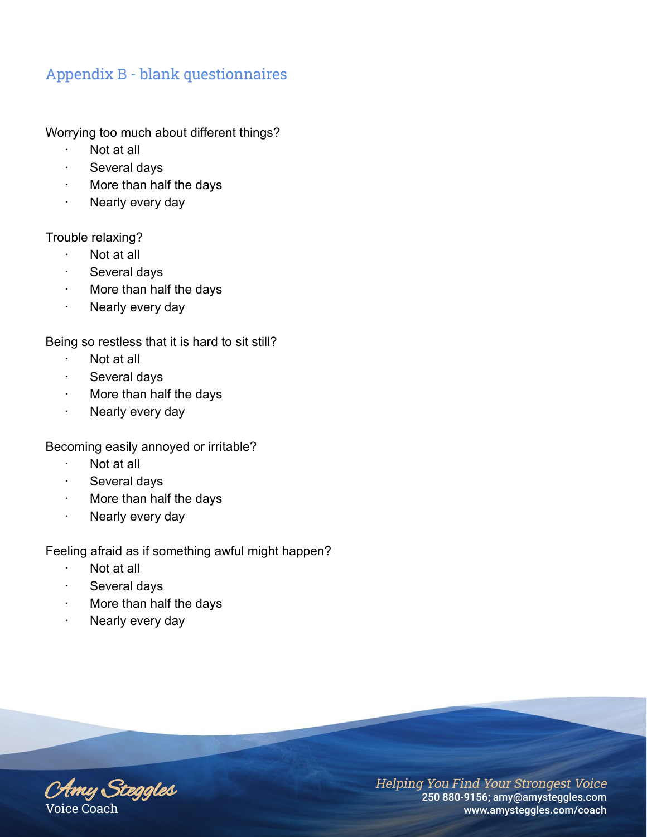Worrying too much about different things?

- Not at all
- Several days
- · More than half the days
- Nearly every day

Trouble relaxing?

- · Not at all
- · Several days
- · More than half the days
- · Nearly every day

Being so restless that it is hard to sit still?

- · Not at all
- · Several days
- · More than half the days
- · Nearly every day

Becoming easily annoyed or irritable?

- · Not at all
- Several days
- · More than half the days
- Nearly every day

Feeling afraid as if something awful might happen?

- · Not at all
- · Several days
- More than half the days
- · Nearly every day

Amy Steggles Voice Coach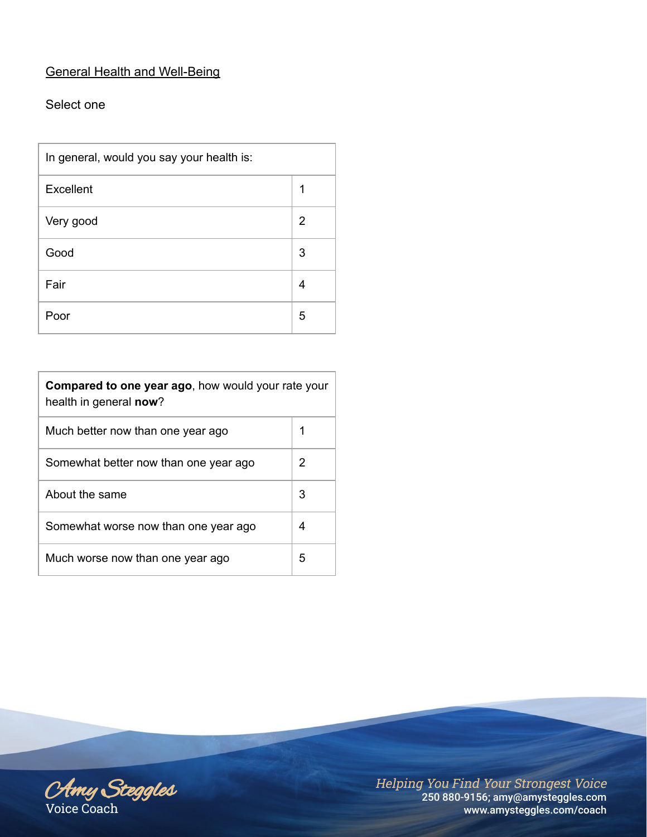# General Health and Well-Being

## Select one

| In general, would you say your health is: |   |  |
|-------------------------------------------|---|--|
| Excellent                                 | 1 |  |
| Very good                                 | 2 |  |
| Good                                      | 3 |  |
| Fair                                      | 4 |  |
| Poor                                      | 5 |  |

| Compared to one year ago, how would your rate your<br>health in general now? |   |  |  |
|------------------------------------------------------------------------------|---|--|--|
| Much better now than one year ago                                            | 1 |  |  |
| Somewhat better now than one year ago                                        | 2 |  |  |
| About the same                                                               | 3 |  |  |
| Somewhat worse now than one year ago                                         | 4 |  |  |
| Much worse now than one year ago                                             | 5 |  |  |

Amy Steggles Voice Coach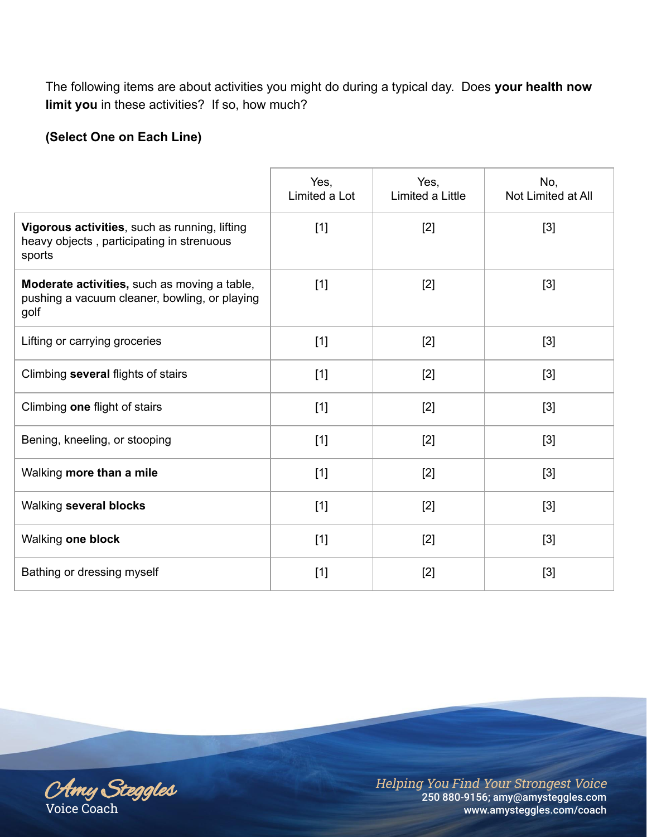The following items are about activities you might do during a typical day. Does **your health now limit you** in these activities? If so, how much?

# **(Select One on Each Line)**

|                                                                                                       | Yes,<br>Limited a Lot | Yes,<br>Limited a Little | No,<br>Not Limited at All |
|-------------------------------------------------------------------------------------------------------|-----------------------|--------------------------|---------------------------|
| Vigorous activities, such as running, lifting<br>heavy objects, participating in strenuous<br>sports  | [1]                   | $[2]$                    | $[3]$                     |
| Moderate activities, such as moving a table,<br>pushing a vacuum cleaner, bowling, or playing<br>golf | $[1]$                 | $[2]$                    | $[3]$                     |
| Lifting or carrying groceries                                                                         | $[1]$                 | $[2]$                    | $[3]$                     |
| Climbing several flights of stairs                                                                    | $[1]$                 | $[2]$                    | $[3]$                     |
| Climbing one flight of stairs                                                                         | $[1]$                 | $[2]$                    | $[3]$                     |
| Bening, kneeling, or stooping                                                                         | $[1]$                 | $[2]$                    | $[3]$                     |
| Walking more than a mile                                                                              | $[1]$                 | $[2]$                    | $[3]$                     |
| Walking several blocks                                                                                | $[1]$                 | $[2]$                    | $[3]$                     |
| Walking one block                                                                                     | $[1]$                 | $[2]$                    | $[3]$                     |
| Bathing or dressing myself                                                                            | $[1]$                 | $[2]$                    | $[3]$                     |

Amy Steggles Voice Coach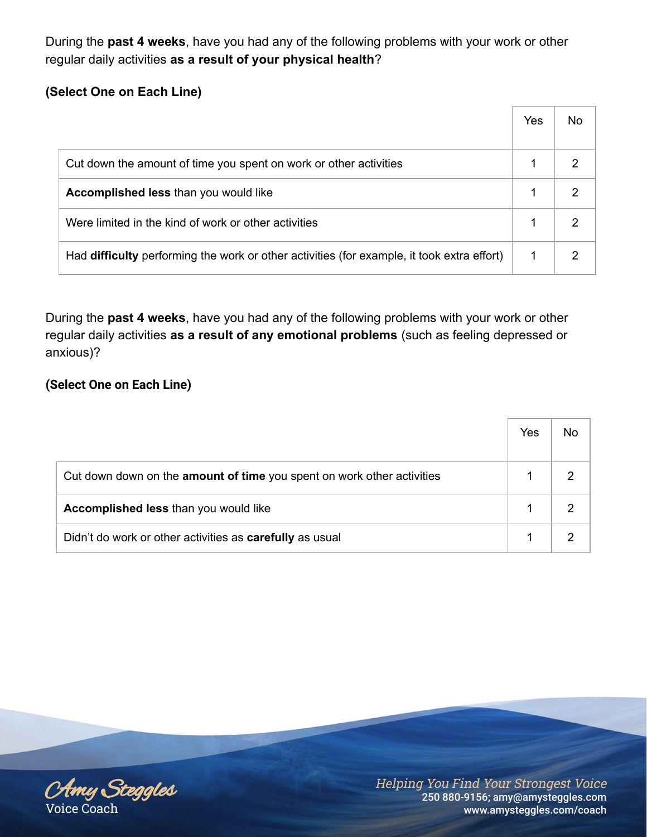During the **past 4 weeks**, have you had any of the following problems with your work or other regular daily activities **as a result of your physical health**?

# **(Select One on Each Line)**

|                                                                                            | Yes | No |
|--------------------------------------------------------------------------------------------|-----|----|
| Cut down the amount of time you spent on work or other activities                          |     |    |
| Accomplished less than you would like                                                      |     |    |
| Were limited in the kind of work or other activities                                       |     |    |
| Had difficulty performing the work or other activities (for example, it took extra effort) |     |    |

During the **past 4 weeks**, have you had any of the following problems with your work or other regular daily activities **as a result of any emotional problems** (such as feeling depressed or anxious)?

# **(Select One on Each Line)**

|                                                                        | Yes | No |
|------------------------------------------------------------------------|-----|----|
| Cut down down on the amount of time you spent on work other activities |     |    |
| <b>Accomplished less than you would like</b>                           |     |    |
| Didn't do work or other activities as carefully as usual               |     |    |

Amy Steggles Voice Coach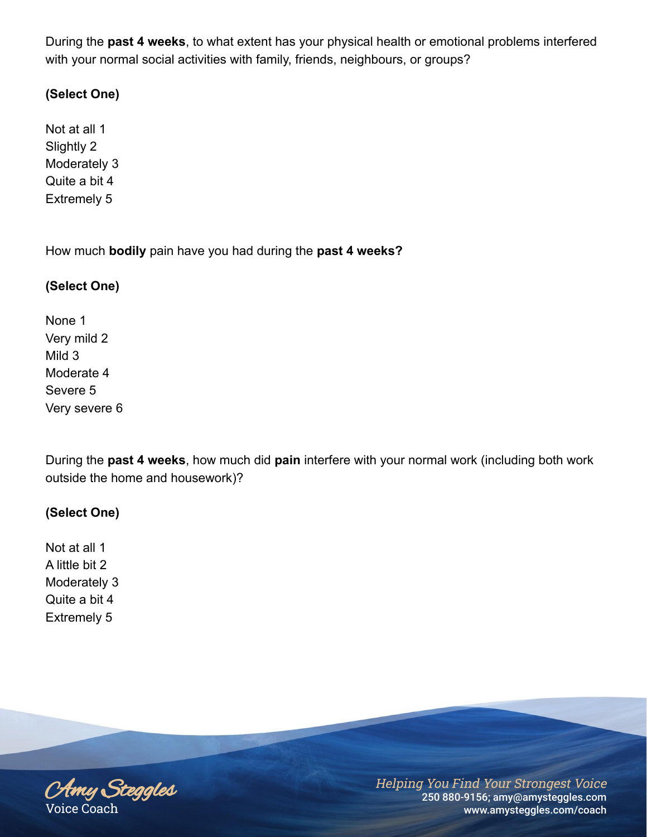During the **past 4 weeks**, to what extent has your physical health or emotional problems interfered with your normal social activities with family, friends, neighbours, or groups?

## **(Select One)**

Not at all 1 Slightly 2 Moderately 3 Quite a bit 4 Extremely 5

How much **bodily** pain have you had during the **past 4 weeks?**

## **(Select One)**

None 1 Very mild 2 Mild 3 Moderate 4 Severe 5 Very severe 6

During the **past 4 weeks**, how much did **pain** interfere with your normal work (including both work outside the home and housework)?

## **(Select One)**

Not at all 1 A little bit 2 Moderately 3 Quite a bit 4 Extremely 5

Amy Steggles Voice Coach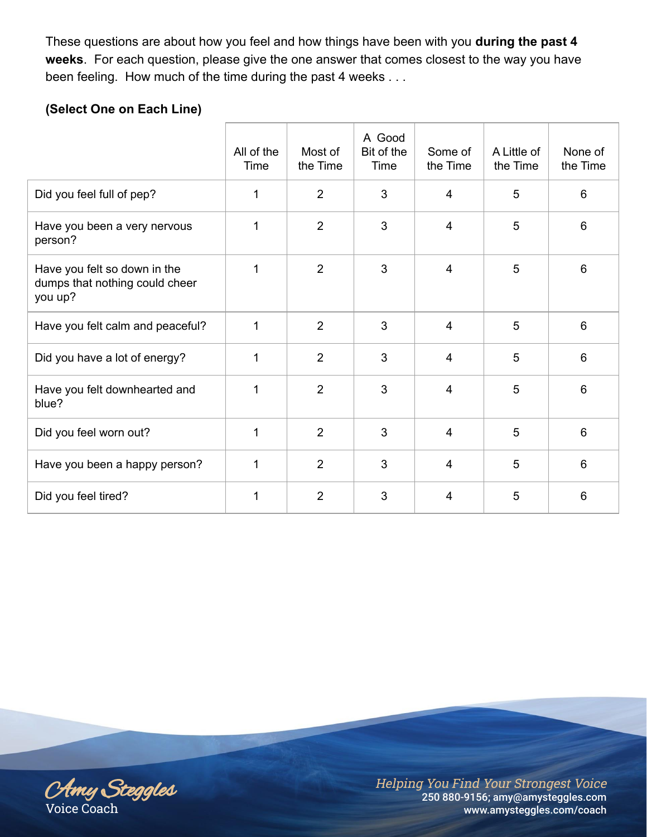These questions are about how you feel and how things have been with you **during the past 4 weeks**. For each question, please give the one answer that comes closest to the way you have been feeling. How much of the time during the past 4 weeks . . .

# **(Select One on Each Line)**

|                                                                           | All of the<br>Time | Most of<br>the Time | A Good<br>Bit of the<br>Time | Some of<br>the Time | A Little of<br>the Time | None of<br>the Time |
|---------------------------------------------------------------------------|--------------------|---------------------|------------------------------|---------------------|-------------------------|---------------------|
| Did you feel full of pep?                                                 | 1                  | $\overline{2}$      | 3                            | $\overline{4}$      | 5                       | 6                   |
| Have you been a very nervous<br>person?                                   | 1                  | 2                   | 3                            | 4                   | 5                       | 6                   |
| Have you felt so down in the<br>dumps that nothing could cheer<br>you up? | 1                  | 2                   | 3                            | $\overline{4}$      | 5                       | 6                   |
| Have you felt calm and peaceful?                                          | 1                  | $\overline{2}$      | 3                            | $\overline{4}$      | 5                       | 6                   |
| Did you have a lot of energy?                                             | 1                  | 2                   | 3                            | $\overline{4}$      | 5                       | 6                   |
| Have you felt downhearted and<br>blue?                                    | $\mathbf 1$        | 2                   | 3                            | $\overline{4}$      | 5                       | 6                   |
| Did you feel worn out?                                                    | 1                  | $\overline{2}$      | 3                            | $\overline{4}$      | 5                       | 6                   |
| Have you been a happy person?                                             | 1                  | $\overline{2}$      | 3                            | $\overline{4}$      | 5                       | 6                   |
| Did you feel tired?                                                       | 1                  | $\overline{2}$      | 3                            | 4                   | 5                       | 6                   |

Amy Steggles Voice Coach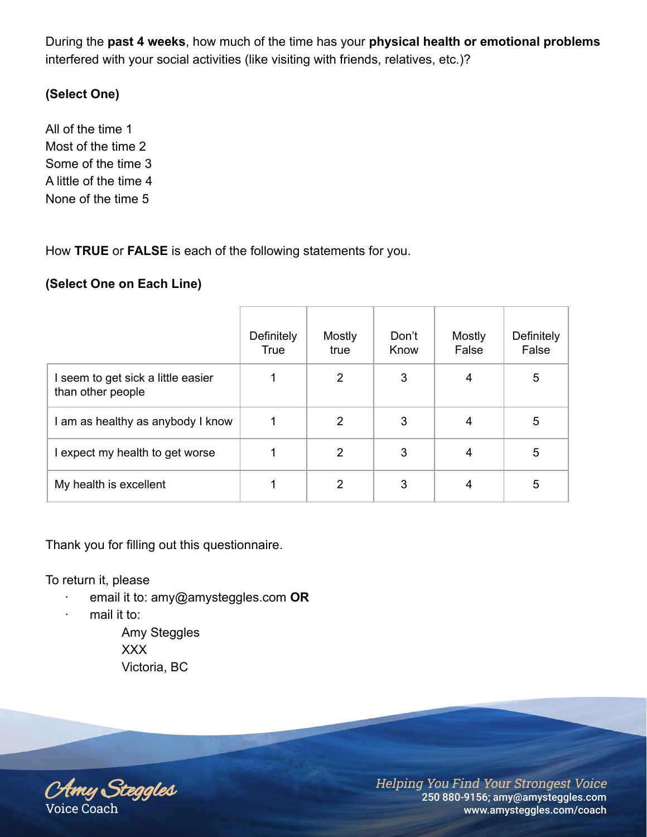During the **past 4 weeks**, how much of the time has your **physical health or emotional problems** interfered with your social activities (like visiting with friends, relatives, etc.)?

# **(Select One)**

All of the time 1 Most of the time 2 Some of the time 3 A little of the time 4 None of the time 5

How **TRUE** or **FALSE** is each of the following statements for you.

## **(Select One on Each Line)**

|                                                         | Definitely<br><b>True</b> | Mostly<br>true | Don't<br>Know | Mostly<br>False | Definitely<br>False |
|---------------------------------------------------------|---------------------------|----------------|---------------|-----------------|---------------------|
| I seem to get sick a little easier<br>than other people |                           | $\overline{2}$ | 3             | 4               | 5                   |
| I am as healthy as anybody I know                       |                           | 2              | 3             | 4               | 5                   |
| I expect my health to get worse                         |                           | $\overline{2}$ | 3             | 4               | 5                   |
| My health is excellent                                  |                           | 2              | 3             | 4               | 5                   |

Thank you for filling out this questionnaire.

To return it, please

- · email it to: amy@amysteggles.com **OR**
- · mail it to:

Amy Steggles XXX Victoria, BC

Amy Steggles Voice Coach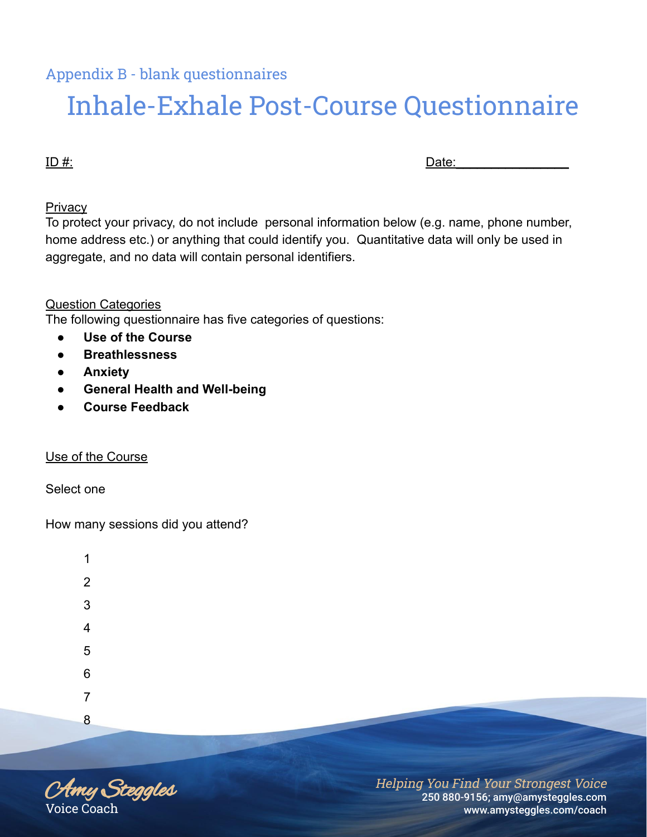# Inhale-Exhale Post-Course Questionnaire

ID #: Date:\_\_\_\_\_\_\_\_\_\_\_\_\_\_\_\_

#### **Privacy**

To protect your privacy, do not include personal information below (e.g. name, phone number, home address etc.) or anything that could identify you. Quantitative data will only be used in aggregate, and no data will contain personal identifiers.

## Question Categories

The following questionnaire has five categories of questions:

- **Use of the Course**
- **Breathlessness**
- **Anxiety**
- **General Health and Well-being**
- **Course Feedback**

#### Use of the Course

Select one

How many sessions did you attend?

| 1              |  |
|----------------|--|
| $\overline{2}$ |  |
| 3              |  |
| 4              |  |
| 5              |  |
| 6              |  |
| 7              |  |
| 8              |  |

Amy Steggles Voice Coach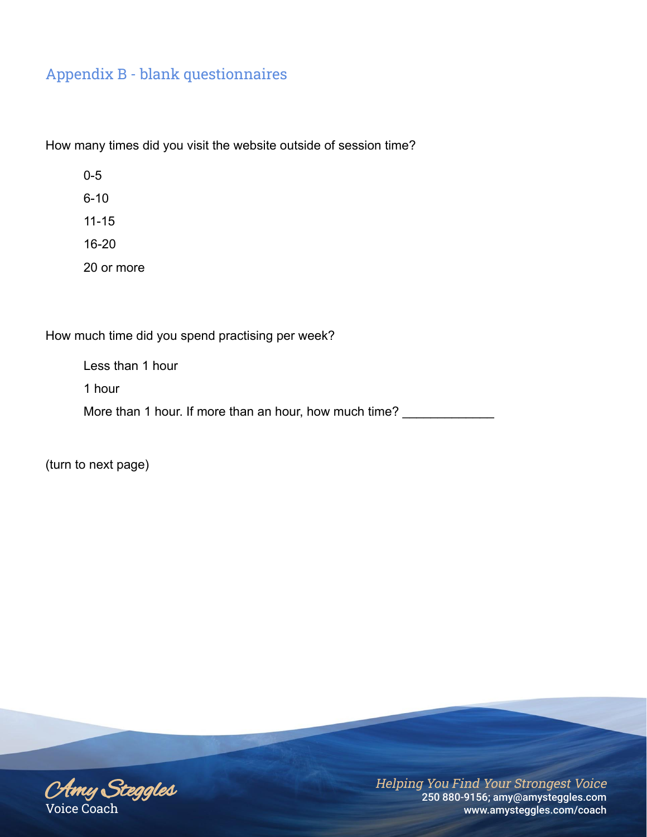How many times did you visit the website outside of session time?

0-5 6-10 11-15 16-20 20 or more

How much time did you spend practising per week?

Less than 1 hour 1 hour

More than 1 hour. If more than an hour, how much time? \_\_\_\_\_\_\_\_\_\_\_\_\_\_\_\_\_\_\_\_\_\_\_\_\_

(turn to next page)

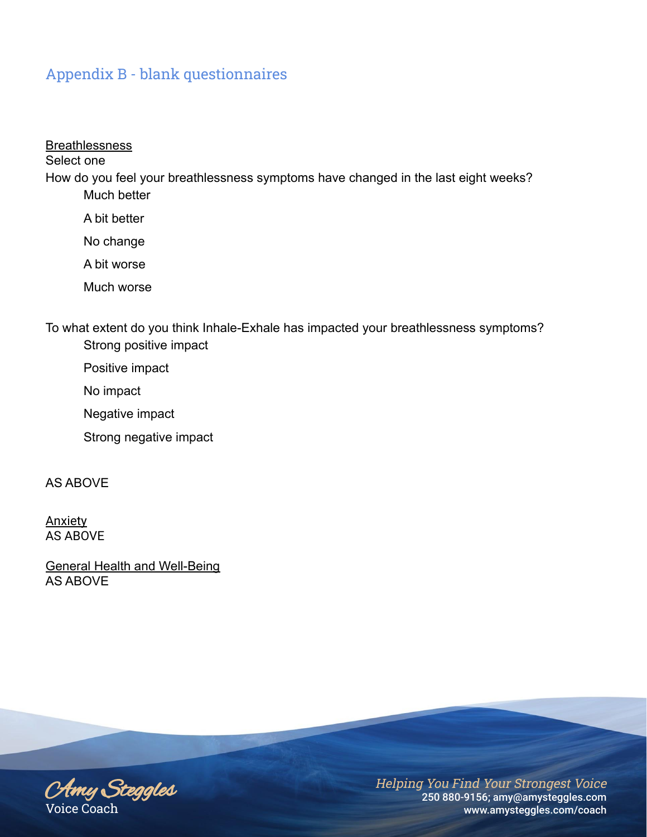#### **Breathlessness**

Select one

How do you feel your breathlessness symptoms have changed in the last eight weeks? Much better

A bit better

No change

A bit worse

Much worse

To what extent do you think Inhale-Exhale has impacted your breathlessness symptoms? Strong positive impact

Positive impact

No impact

Negative impact

Strong negative impact

AS ABOVE

Anxiety AS ABOVE

General Health and Well-Being AS ABOVE

Amy Steggles Voice Coach